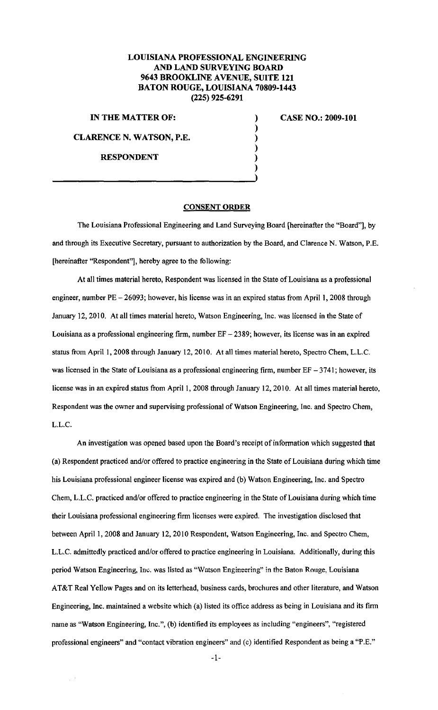## LOUISIANA PROFESSIONAL ENGINEERING AND LAND SURVEYING BOARD 9643 BROOKLINE AVENUE, SUITE 121 BATON ROUGE, LOUISIANA 70809-1443 (225) 925-6291

) ) ) ) ) )

IN THE MATTER OF:

CLARENCE N. WATSON, P.E.

RESPONDENT

CASE NO.: 2009-101

## CONSENT ORDER

The Louisiana Professional Engineering and Land Surveying Board [hereinafter the "Board"], by and through its Executive Secretary, pursuant to authorization by the Board, and Clarence N. Watson, P.E. [hereinafter "Respondent"], hereby agree to the following:

At all times material hereto, Respondent was licensed in the State of Louisiana as a professional engineer, number  $PE - 26093$ ; however, his license was in an expired status from April 1, 2008 through January 12,2010. At all times material hereto, Watson Engineering, Inc. was licensed in the State of Louisiana as a professional engineering firm, number  $EF - 2389$ ; however, its license was in an expired status from April I, 2008 through January 12, 2010. At all times material hereto, Spectro Chern, L.L.C. was licensed in the State of Louisiana as a professional engineering firm, number  $EF - 3741$ ; however, its license was in an expired status from April 1, 2008 through January 12, 2010. At all times material hereto, Respondent was the owner and supervising professional of Watson Engineering, Inc. and Spectro Chern, L.L.C.

An investigation was opened based upon the Board's receipt of information which suggested that (a) Respondent practiced and/or offered to practice engineering in the State of Louisiana during which time his Louisiana professional engineer license was expired and (b) Watson Engineering, Inc. and Spectro Chern, L.L.C. practiced and/or offered to practice engineering in the State of Louisiana during which time their Louisiana professional engineering firm licenses were expired. The investigation disclosed that between April 1, 2008 and January 12, 2010 Respondent, Watson Engineering, Inc. and Spectro Chem, L.L.C. admittedly practiced and/or offered to practice engineering in Louisiana. Additionally, during this period Watson Engineering, Inc. was listed as "Watson Engineering" in the Baton Rouge, Louisiana AT&T Real Yellow Pages and on its letterhead, business cards, brochures and other literature, and Watson Engineering, Inc. maintained a website which (a) listed its office address as being in Louisiana and its firm name as "Watson Engineering, Inc.", (b) identified its employees as including "engineers", "registered professional engineers" and "contact vibration engineers" and (c) identified Respondent as being a "P.E."

-1-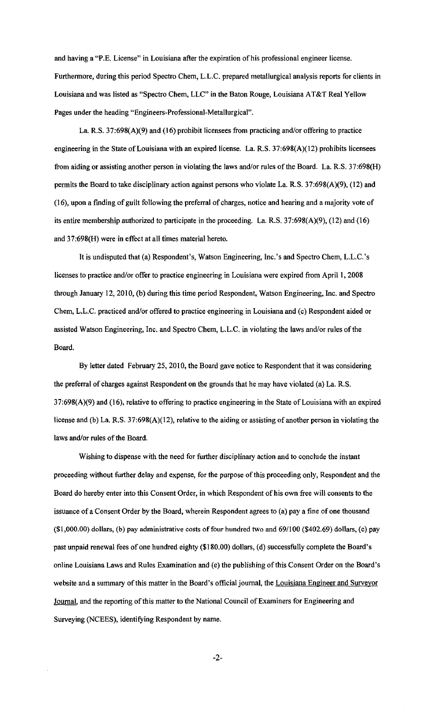and having a "P.E. License" in Louisiana after the expiration of his professional engineer license. Furthermore, during this period Spectro Chem, L.L.C. prepared metallurgical analysis reports for clients in Louisiana and was listed as "Spectro Chern, LLC" in the Baton Rouge, Louisiana AT&T Real Yellow Pages under the heading "Engineers-Professional-Metallurgical".

La. R.S. 37:698(A)(9) and (16) prohibit licensees from practicing and/or offering to practice engineering in the State of Louisiana with an expired license. La. R.S. 37:698(A)(l2) prohibits licensees from aiding or assisting another person in violating the laws and/or rules of the Board. La. R.S. 37:698(H) permits the Board to take disciplinary action against persons who violate La. R.S. 37:698(A)(9), (12) and (16), upon a finding of guilt following the preferral of charges, notice and hearing and a majority vote of its entire membership authorized to participate in the proceeding. La. R.S. 37:698(A)(9), (12) and (16) and 37:698(H) were in effect at all times material hereto.

It is undisputed that (a) Respondent's, Watson Engineering, Inc.'s and Spectro Chern, L.L.C.'s licenses to practice and/or offer to practice engineering in Louisiana were expired from April I, 2008 through January 12,2010, (b) during this time period Respondent, Watson Engineering, Inc. and Spectro Chern, L.L.C. practiced and/or offered to practice engineering in Louisiana and (c) Respondent aided or assisted Watson Engineering, Inc. and Spectro Chern, L.L.C. in violating the laws and/or rules of the Board.

By letter dated February 25,2010, the Board gave notice to Respondent that it was considering the preferral of charges against Respondent on the grounds that he may have violated (a) La. R.S. 37:698(A)(9) and (16), relative to offering to practice engineering in the State of Louisiana with an expired license and (b) La. R.S. 37:698(A)(12), relative to the aiding or assisting of another person in violating the laws and/or rules of the Board.

Wishing to dispense with the need for further disciplinary action and to conclude the instant proceeding without further delay and expense, for the purpose of this proceeding only, Respondent and the Board do hereby enter into this Consent Order, in which Respondent of his own free will consents to the issuance of a Consent Order by the Board, wherein Respondent agrees to (a) pay a fine of one thousand (\$1,000.00) dollars, (b) pay administrative costs of four hundred two and 69/100 (\$402.69) dollars, (c) pay past unpaid renewal fees of one hundred eighty (\$180.00) dollars, (d) successfully complete the Board's online Louisiana Laws and Rules Examination and (e) the publishing of this Consent Order on the Board's website and a summary of this matter in the Board's official journal, the Louisiana Engineer and Surveyor Journal, and the reporting of this matter to the National Council of Examiners for Engineering and Surveying (NCEES), identifying Respondent by name.

-2-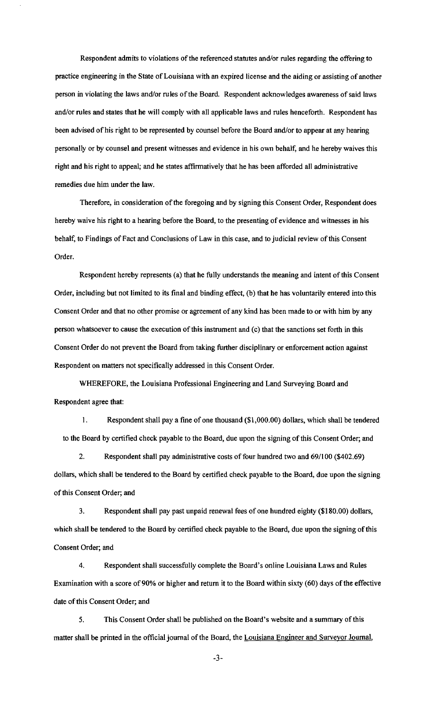Respondent admits to violations of the referenced statutes and/or rules regarding the offering to practice engineering in the State of Louisiana with an expired license and the aiding or assisting of another person in violating the laws and/or rules of the Board. Respondent acknowledges awareness of said laws and/or rules and states that he will comply with all applicable laws and rules henceforth. Respondent has been advised of his right to be represented by counsel before the Board and/or to appear at any hearing personally or by counsel and present witnesses and evidence in his own behalf, and he hereby waives this right and his right to appeal; and he states affirmatively that he has been afforded all administrative remedies due him under the law.

Therefore, in consideration of the foregoing and by signing this Consent Order, Respondent does hereby waive his right to a hearing before the Board, to the presenting of evidence and witnesses in his behalf, to Findings of Fact and Conclusions of Law in this case, and to judicial review of this Consent Order.

Respondent hereby represents (a) that he fully understands the meaning and intent of this Consent Order, including but not limited to its final and binding effect, (b) that he has voluntarily entered into this Consent Order and that no other promise or agreement of any kind has been made to or with him by any person whatsoever to cause the execution of this instrument and (c) that the sanctions set forth in this Consent Order do not prevent the Board from taking further disciplinary or enforcement action against Respondent on matters not specifically addressed in this Consent Order.

WHEREFORE, the Louisiana Professional Engineering and Land Surveying Board and Respondent agree that:

I. Respondent shall pay a fine of one thousand (\$1,000.00) dollars, which shall be tendered to the Board by certified check payable to the Board, due upon the signing of this Consent Order; and

2. Respondent shall pay administrative costs of four hundred two and 69/1 00 (\$402.69) dollars, which shall be tendered to the Board by certified check payable to the Board, due upon the signing of this Consent Order; and

3. Respondent shall pay past unpaid renewal fees of one hundred eighty (\$180.00) dollars, which shall be tendered to the Board by certified check payable to the Board, due upon the signing of this Consent Order; and

4. Respondent shall successfully complete the Board's online Louisiana Laws and Rules Examination with a score of 90% or higher and return it to the Board within sixty (60) days of the effective date of this Consent Order; and

5. This Consent Order shall be published on the Board's website and a summary of this matter shall be printed in the official journal of the Board, the Louisiana Engineer and Surveyor Journal,

-3-